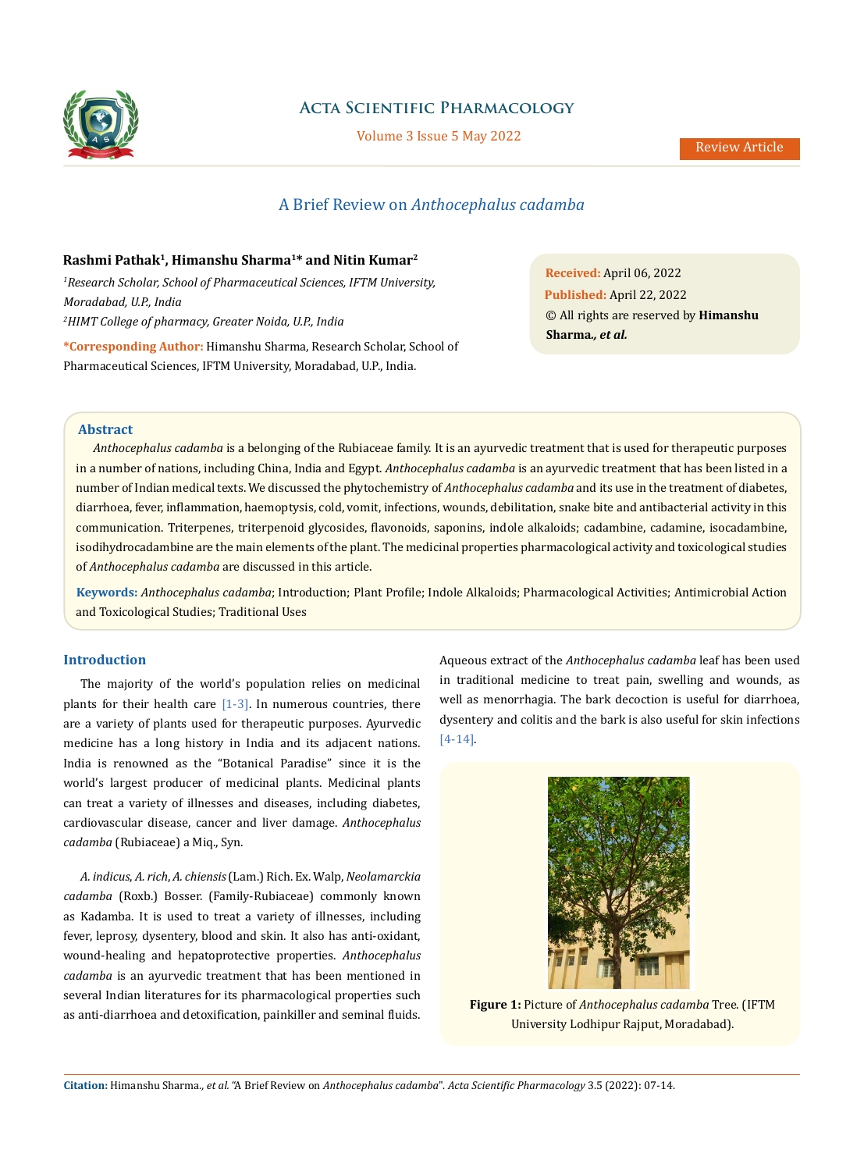

# **Acta Scientific Pharmacology**

Volume 3 Issue 5 May 2022

# A Brief Review on *Anthocephalus cadamba*

## **Rashmi Pathak1, Himanshu Sharma1\* and Nitin Kumar2**

*1 Research Scholar, School of Pharmaceutical Sciences, IFTM University, Moradabad, U.P., India 2 HIMT College of pharmacy, Greater Noida, U.P., India*

**\*Corresponding Author:** Himanshu Sharma, Research Scholar, School of Pharmaceutical Sciences, IFTM University, Moradabad, U.P., India.

**Received:** April 06, 2022 **Published:** April 22, 2022 © All rights are reserved by **Himanshu Sharma***., et al.*

# **Abstract**

*Anthocephalus cadamba* is a belonging of the Rubiaceae family. It is an ayurvedic treatment that is used for therapeutic purposes in a number of nations, including China, India and Egypt. *Anthocephalus cadamba* is an ayurvedic treatment that has been listed in a number of Indian medical texts. We discussed the phytochemistry of *Anthocephalus cadamba* and its use in the treatment of diabetes, diarrhoea, fever, inflammation, haemoptysis, cold, vomit, infections, wounds, debilitation, snake bite and antibacterial activity in this communication. Triterpenes, triterpenoid glycosides, flavonoids, saponins, indole alkaloids; cadambine, cadamine, isocadambine, isodihydrocadambine are the main elements of the plant. The medicinal properties pharmacological activity and toxicological studies of *Anthocephalus cadamba* are discussed in this article.

**Keywords:** *Anthocephalus cadamba*; Introduction; Plant Profile; Indole Alkaloids; Pharmacological Activities; Antimicrobial Action and Toxicological Studies; Traditional Uses

### **Introduction**

The majority of the world's population relies on medicinal plants for their health care  $[1-3]$ . In numerous countries, there are a variety of plants used for therapeutic purposes. Ayurvedic medicine has a long history in India and its adjacent nations. India is renowned as the "Botanical Paradise" since it is the world's largest producer of medicinal plants. Medicinal plants can treat a variety of illnesses and diseases, including diabetes, cardiovascular disease, cancer and liver damage. *Anthocephalus cadamba* (Rubiaceae) a Miq., Syn.

*A. indicus*, *A. rich*, *A. chiensis* (Lam.) Rich. Ex. Walp, *Neolamarckia cadamba* (Roxb.) Bosser. (Family-Rubiaceae) commonly known as Kadamba. It is used to treat a variety of illnesses, including fever, leprosy, dysentery, blood and skin. It also has anti-oxidant, wound-healing and hepatoprotective properties. *Anthocephalus cadamba* is an ayurvedic treatment that has been mentioned in several Indian literatures for its pharmacological properties such as anti-diarrhoea and detoxification, painkiller and seminal fluids.

Aqueous extract of the *Anthocephalus cadamba* leaf has been used in traditional medicine to treat pain, swelling and wounds, as well as menorrhagia. The bark decoction is useful for diarrhoea, dysentery and colitis and the bark is also useful for skin infections [4-14].



**Figure 1:** Picture of *Anthocephalus cadamba* Tree. (IFTM University Lodhipur Rajput, Moradabad).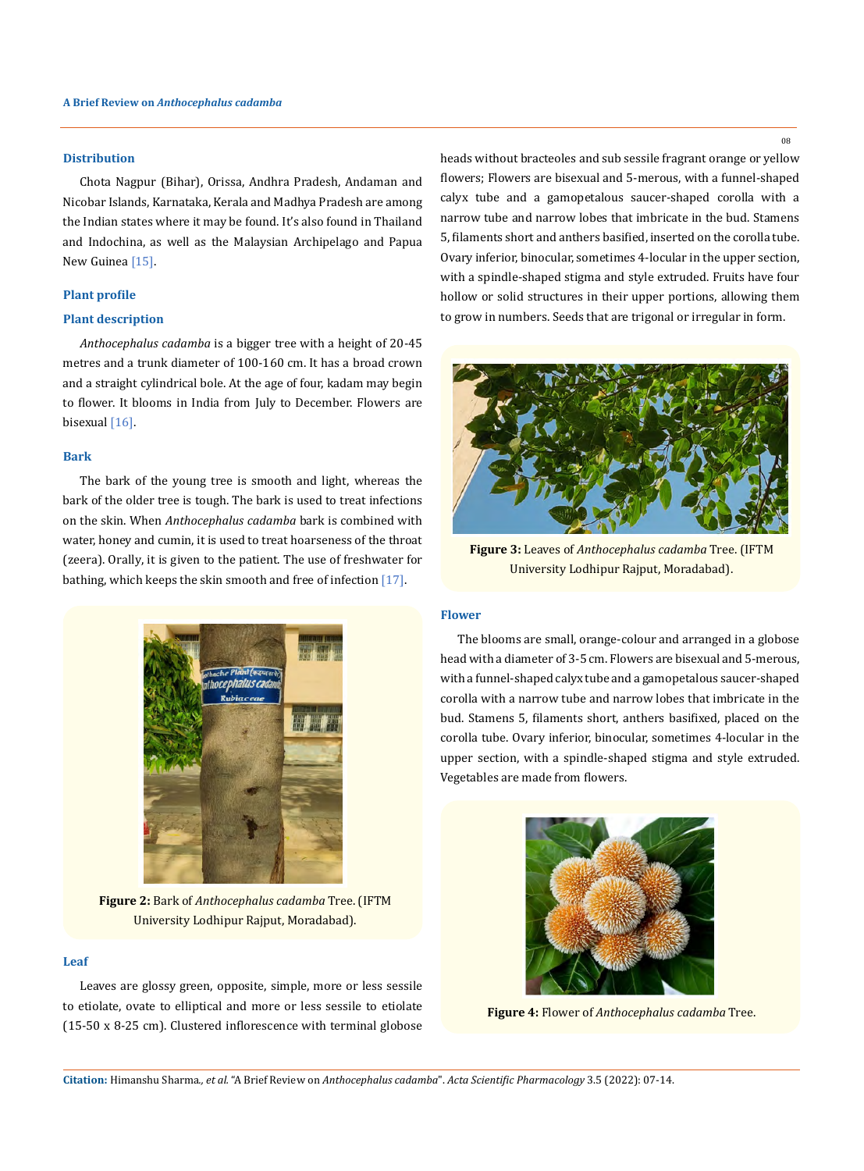### **Distribution**

Chota Nagpur (Bihar), Orissa, Andhra Pradesh, Andaman and Nicobar Islands, Karnataka, Kerala and Madhya Pradesh are among the Indian states where it may be found. It's also found in Thailand and Indochina, as well as the Malaysian Archipelago and Papua New Guinea<sup>[15]</sup>.

### **Plant profile**

#### **Plant description**

*Anthocephalus cadamba* is a bigger tree with a height of 20-45 metres and a trunk diameter of 100-160 cm. It has a broad crown and a straight cylindrical bole. At the age of four, kadam may begin to flower. It blooms in India from July to December. Flowers are bisexual [16].

### **Bark**

The bark of the young tree is smooth and light, whereas the bark of the older tree is tough. The bark is used to treat infections on the skin. When *Anthocephalus cadamba* bark is combined with water, honey and cumin, it is used to treat hoarseness of the throat (zeera). Orally, it is given to the patient. The use of freshwater for bathing, which keeps the skin smooth and free of infection [17].



**Figure 2:** Bark of *Anthocephalus cadamba* Tree. (IFTM University Lodhipur Rajput, Moradabad).

### **Leaf**

Leaves are glossy green, opposite, simple, more or less sessile to etiolate, ovate to elliptical and more or less sessile to etiolate (15-50 x 8-25 cm). Clustered inflorescence with terminal globose heads without bracteoles and sub sessile fragrant orange or yellow flowers; Flowers are bisexual and 5-merous, with a funnel-shaped calyx tube and a gamopetalous saucer-shaped corolla with a narrow tube and narrow lobes that imbricate in the bud. Stamens 5, filaments short and anthers basified, inserted on the corolla tube. Ovary inferior, binocular, sometimes 4-locular in the upper section, with a spindle-shaped stigma and style extruded. Fruits have four hollow or solid structures in their upper portions, allowing them to grow in numbers. Seeds that are trigonal or irregular in form.



**Figure 3:** Leaves of *Anthocephalus cadamba* Tree. (IFTM University Lodhipur Rajput, Moradabad).

### **Flower**

The blooms are small, orange-colour and arranged in a globose head with a diameter of 3-5 cm. Flowers are bisexual and 5-merous, with a funnel-shaped calyx tube and a gamopetalous saucer-shaped corolla with a narrow tube and narrow lobes that imbricate in the bud. Stamens 5, filaments short, anthers basifixed, placed on the corolla tube. Ovary inferior, binocular, sometimes 4-locular in the upper section, with a spindle-shaped stigma and style extruded. Vegetables are made from flowers.



**Figure 4:** Flower of *Anthocephalus cadamba* Tree.

08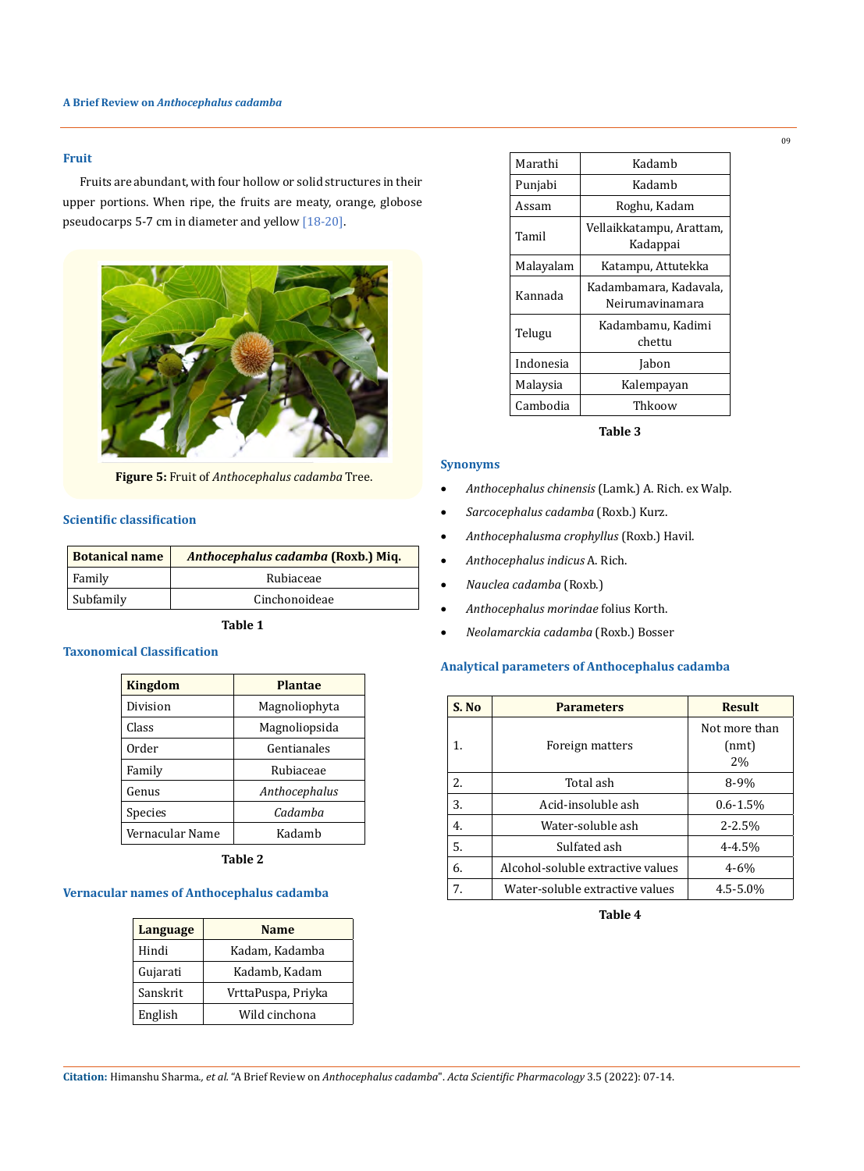## **Fruit**

Fruits are abundant, with four hollow or solid structures in their upper portions. When ripe, the fruits are meaty, orange, globose pseudocarps 5-7 cm in diameter and yellow [18-20].



**Figure 5:** Fruit of *Anthocephalus cadamba* Tree.

# **Scientific classification**

| <b>Botanical name</b> | Anthocephalus cadamba (Roxb.) Miq. |  |
|-----------------------|------------------------------------|--|
| Family                | Rubiaceae                          |  |
| Subfamily             | Cinchonoideae                      |  |

### **Table 1**

### **Taxonomical Classification**

| <b>Kingdom</b>  | <b>Plantae</b> |
|-----------------|----------------|
| Division        | Magnoliophyta  |
| Class           | Magnoliopsida  |
| Order           | Gentianales    |
| Family          | Rubiaceae      |
| Genus           | Anthocephalus  |
| Species         | Cadamba        |
| Vernacular Name | Kadamb         |

**Table 2**

# **Vernacular names of Anthocephalus cadamba**

| <b>Language</b> | <b>Name</b>        |
|-----------------|--------------------|
| Hindi           | Kadam, Kadamba     |
| Gujarati        | Kadamb, Kadam      |
| Sanskrit        | VrttaPuspa, Priyka |
| English         | Wild cinchona      |

| Marathi   | Kadamb                                    |
|-----------|-------------------------------------------|
| Punjabi   | Kadamb                                    |
| Assam     | Roghu, Kadam                              |
| Tamil     | Vellaikkatampu, Arattam,<br>Kadappai      |
| Malayalam | Katampu, Attutekka                        |
| Kannada   | Kadambamara, Kadavala,<br>Neirumavinamara |
| Telugu    | Kadambamu, Kadimi<br>chettu               |
| Indonesia | Jabon                                     |
| Malaysia  | Kalempayan                                |
| Cambodia  | Thkoow                                    |

**Table 3**

### **Synonyms**

- • *Anthocephalus chinensis* (Lamk.) A. Rich. ex Walp.
- • *Sarcocephalus cadamba* (Roxb.) Kurz.
- • *Anthocephalusma crophyllus* (Roxb.) Havil.
- • *Anthocephalus indicus* A. Rich.
- • *Nauclea cadamba* (Roxb.)
- • *Anthocephalus morindae* folius Korth.
- • *Neolamarckia cadamba* (Roxb.) Bosser

## **Analytical parameters of Anthocephalus cadamba**

| S. No | <b>Parameters</b>                 | <b>Result</b> |
|-------|-----------------------------------|---------------|
|       |                                   | Not more than |
| 1.    | Foreign matters                   | (nmt)         |
|       |                                   | 2%            |
| 2.    | Total ash                         | 8-9%          |
| 3.    | Acid-insoluble ash                | $0.6 - 1.5\%$ |
| 4.    | Water-soluble ash                 | $2 - 2.5%$    |
| 5.    | Sulfated ash                      | $4 - 4.5%$    |
| 6.    | Alcohol-soluble extractive values | $4 - 6%$      |
| 7.    | Water-soluble extractive values   | $4.5 - 5.0\%$ |

**Table 4**

09

**Citation:** Himanshu Sharma*., et al.* "A Brief Review on *Anthocephalus cadamba*". *Acta Scientific Pharmacology* 3.5 (2022): 07-14.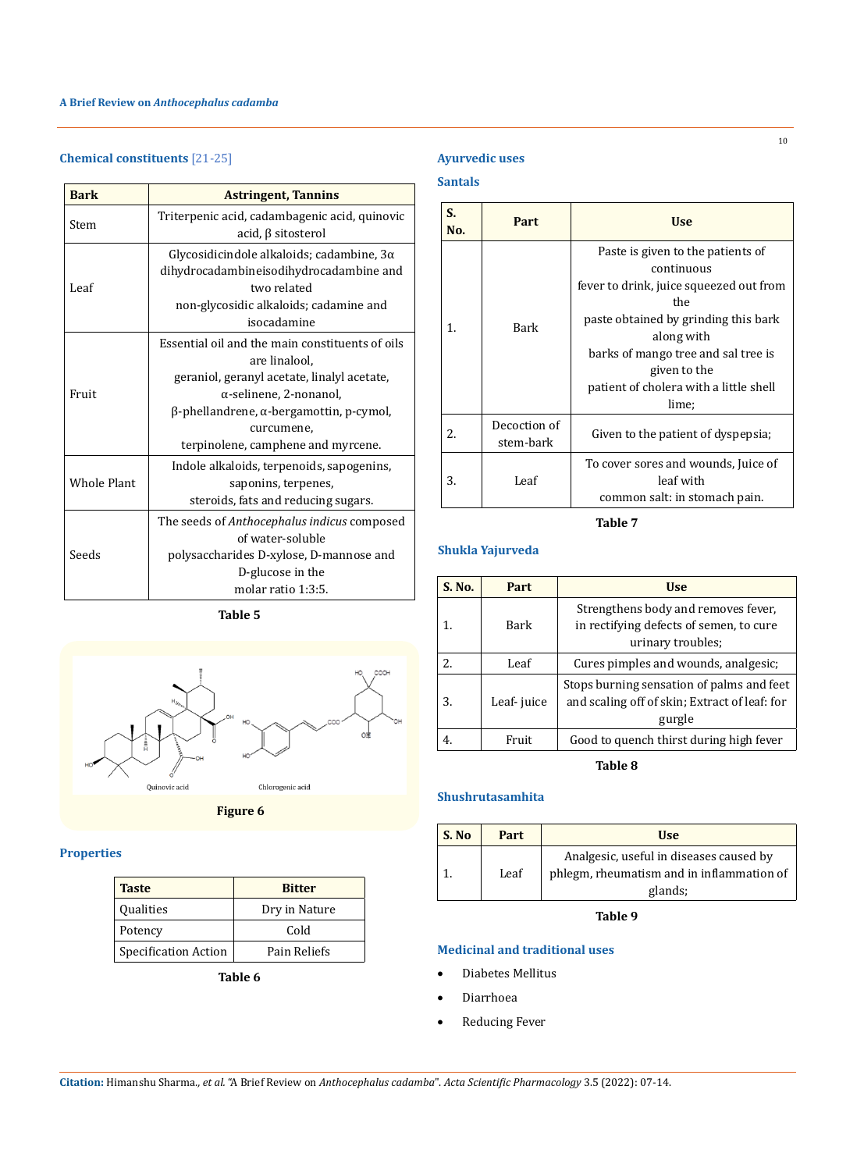# **Chemical constituents** [21-25]

## **Bark Astringent, Tannins** Stem Triterpenic acid, cadambagenic acid, quinovic acid, β sitosterol Leaf Glycosidicindole alkaloids; cadambine, 3α dihydrocadambineisodihydrocadambine and two related non-glycosidic alkaloids; cadamine and isocadamine Fruit Essential oil and the main constituents of oils are linalool, geraniol, geranyl acetate, linalyl acetate, α-selinene, 2-nonanol, β-phellandrene, α-bergamottin, p-cymol, curcumene, terpinolene, camphene and myrcene. Whole Plant Indole alkaloids, terpenoids, sapogenins, saponins, terpenes, steroids, fats and reducing sugars. Seeds The seeds of *Anthocephalus indicus* composed of water-soluble polysaccharides D-xylose, D-mannose and D-glucose in the molar ratio 1:3:5.

**Table 5**



**Figure 6**

# **Properties**

| <b>Taste</b>                | <b>Bitter</b> |
|-----------------------------|---------------|
| <b>Qualities</b>            | Dry in Nature |
| Potency                     | Cold          |
| <b>Specification Action</b> | Pain Reliefs  |
|                             |               |

**Table 6**

# **Ayurvedic uses**

# **Santals**

| S.<br>No. | Part                      | <b>Use</b>                                                                                                                                                                                                                                                        |
|-----------|---------------------------|-------------------------------------------------------------------------------------------------------------------------------------------------------------------------------------------------------------------------------------------------------------------|
| 1.        | Bark                      | Paste is given to the patients of<br>continuous<br>fever to drink, juice squeezed out from<br>the<br>paste obtained by grinding this bark<br>along with<br>barks of mango tree and sal tree is<br>given to the<br>patient of cholera with a little shell<br>lime; |
| 2.        | Decoction of<br>stem-bark | Given to the patient of dyspepsia;                                                                                                                                                                                                                                |
| 3.        | Leaf                      | To cover sores and wounds, Juice of<br>leaf with<br>common salt: in stomach pain.                                                                                                                                                                                 |

**Table 7**

## **Shukla Yajurveda**

| S. No. | Part       | <b>Use</b>                                                                                           |
|--------|------------|------------------------------------------------------------------------------------------------------|
| 1.     | Bark       | Strengthens body and removes fever,<br>in rectifying defects of semen, to cure<br>urinary troubles;  |
| 2.     | Leaf       | Cures pimples and wounds, analgesic;                                                                 |
| 3.     | Leaf-juice | Stops burning sensation of palms and feet<br>and scaling off of skin; Extract of leaf: for<br>gurgle |
|        | Fruit      | Good to quench thirst during high fever                                                              |

**Table 8**

### **Shushrutasamhita**

| S. No | Part | <b>Use</b>                                                                                      |
|-------|------|-------------------------------------------------------------------------------------------------|
|       | Leaf | Analgesic, useful in diseases caused by<br>phlegm, rheumatism and in inflammation of<br>glands; |

**Table 9**

# **Medicinal and traditional uses**

- Diabetes Mellitus
- **Diarrhoea**
- Reducing Fever

10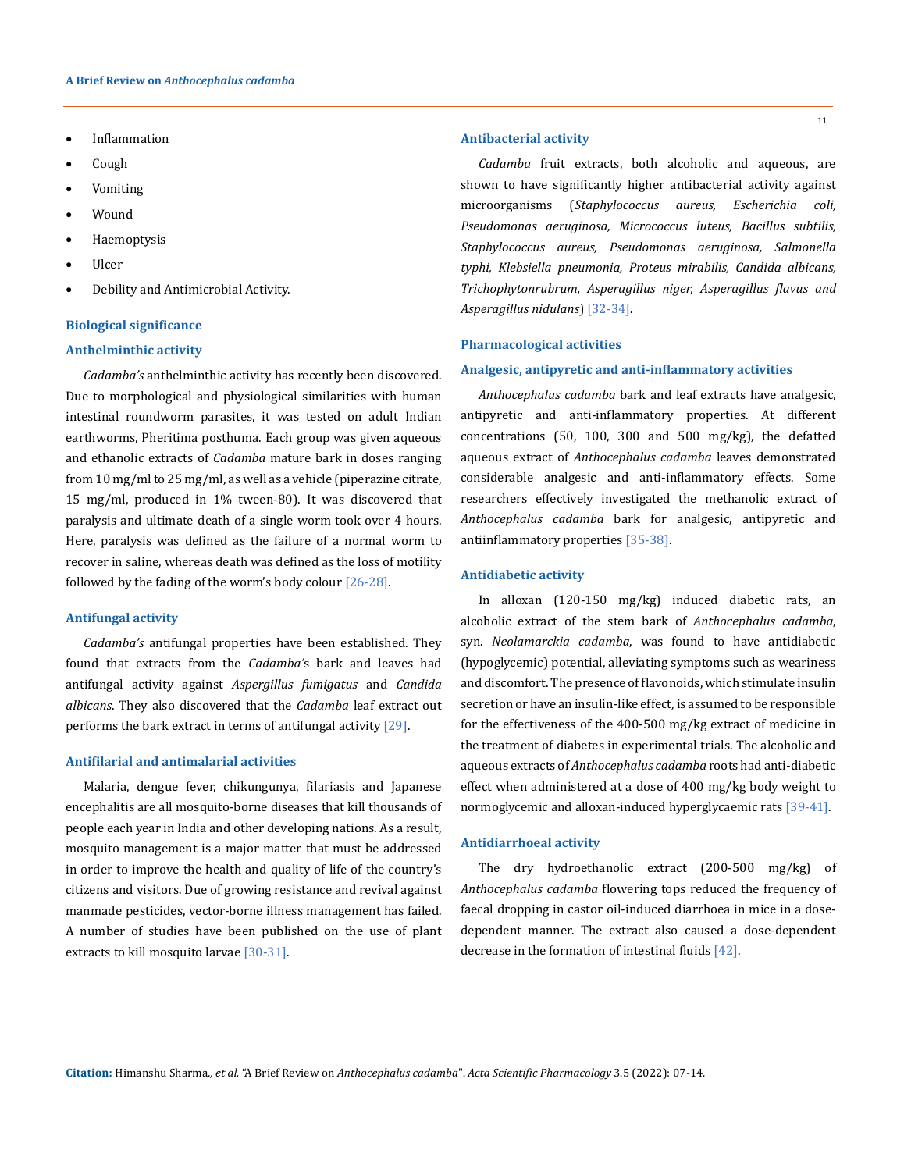- **Inflammation**
- • Cough
- • Vomiting
- • Wound
- • Haemoptysis
- **Ulcer**
- • Debility and Antimicrobial Activity.

### **Biological significance**

### **Anthelminthic activity**

*Cadamba's* anthelminthic activity has recently been discovered. Due to morphological and physiological similarities with human intestinal roundworm parasites, it was tested on adult Indian earthworms, Pheritima posthuma. Each group was given aqueous and ethanolic extracts of *Cadamba* mature bark in doses ranging from 10 mg/ml to 25 mg/ml, as well as a vehicle (piperazine citrate, 15 mg/ml, produced in 1% tween-80). It was discovered that paralysis and ultimate death of a single worm took over 4 hours. Here, paralysis was defined as the failure of a normal worm to recover in saline, whereas death was defined as the loss of motility followed by the fading of the worm's body colour  $[26-28]$ .

### **Antifungal activity**

*Cadamba's* antifungal properties have been established. They found that extracts from the *Cadamba'*s bark and leaves had antifungal activity against *Aspergillus fumigatus* and *Candida albicans*. They also discovered that the *Cadamba* leaf extract out performs the bark extract in terms of antifungal activity [29].

### **Antifilarial and antimalarial activities**

Malaria, dengue fever, chikungunya, filariasis and Japanese encephalitis are all mosquito-borne diseases that kill thousands of people each year in India and other developing nations. As a result, mosquito management is a major matter that must be addressed in order to improve the health and quality of life of the country's citizens and visitors. Due of growing resistance and revival against manmade pesticides, vector-borne illness management has failed. A number of studies have been published on the use of plant extracts to kill mosquito larvae [30-31].

#### **Antibacterial activity**

*Cadamba* fruit extracts, both alcoholic and aqueous, are shown to have significantly higher antibacterial activity against microorganisms (*Staphylococcus aureus, Escherichia coli, Pseudomonas aeruginosa, Micrococcus luteus, Bacillus subtilis, Staphylococcus aureus, Pseudomonas aeruginosa, Salmonella typhi, Klebsiella pneumonia, Proteus mirabilis, Candida albicans, Trichophytonrubrum, Asperagillus niger, Asperagillus flavus and Asperagillus nidulans*) [32-34].

#### **Pharmacological activities**

#### **Analgesic, antipyretic and anti-inflammatory activities**

*Anthocephalus cadamba* bark and leaf extracts have analgesic, antipyretic and anti-inflammatory properties. At different concentrations (50, 100, 300 and 500 mg/kg), the defatted aqueous extract of *Anthocephalus cadamba* leaves demonstrated considerable analgesic and anti-inflammatory effects. Some researchers effectively investigated the methanolic extract of *Anthocephalus cadamba* bark for analgesic, antipyretic and antiinflammatory properties [35-38].

### **Antidiabetic activity**

In alloxan (120-150 mg/kg) induced diabetic rats, an alcoholic extract of the stem bark of *Anthocephalus cadamba*, syn. *Neolamarckia cadamba*, was found to have antidiabetic (hypoglycemic) potential, alleviating symptoms such as weariness and discomfort. The presence of flavonoids, which stimulate insulin secretion or have an insulin-like effect, is assumed to be responsible for the effectiveness of the 400-500 mg/kg extract of medicine in the treatment of diabetes in experimental trials. The alcoholic and aqueous extracts of *Anthocephalus cadamba* roots had anti-diabetic effect when administered at a dose of 400 mg/kg body weight to normoglycemic and alloxan-induced hyperglycaemic rats [39-41].

#### **Antidiarrhoeal activity**

The dry hydroethanolic extract (200-500 mg/kg) of *Anthocephalus cadamba* flowering tops reduced the frequency of faecal dropping in castor oil-induced diarrhoea in mice in a dosedependent manner. The extract also caused a dose-dependent decrease in the formation of intestinal fluids [42].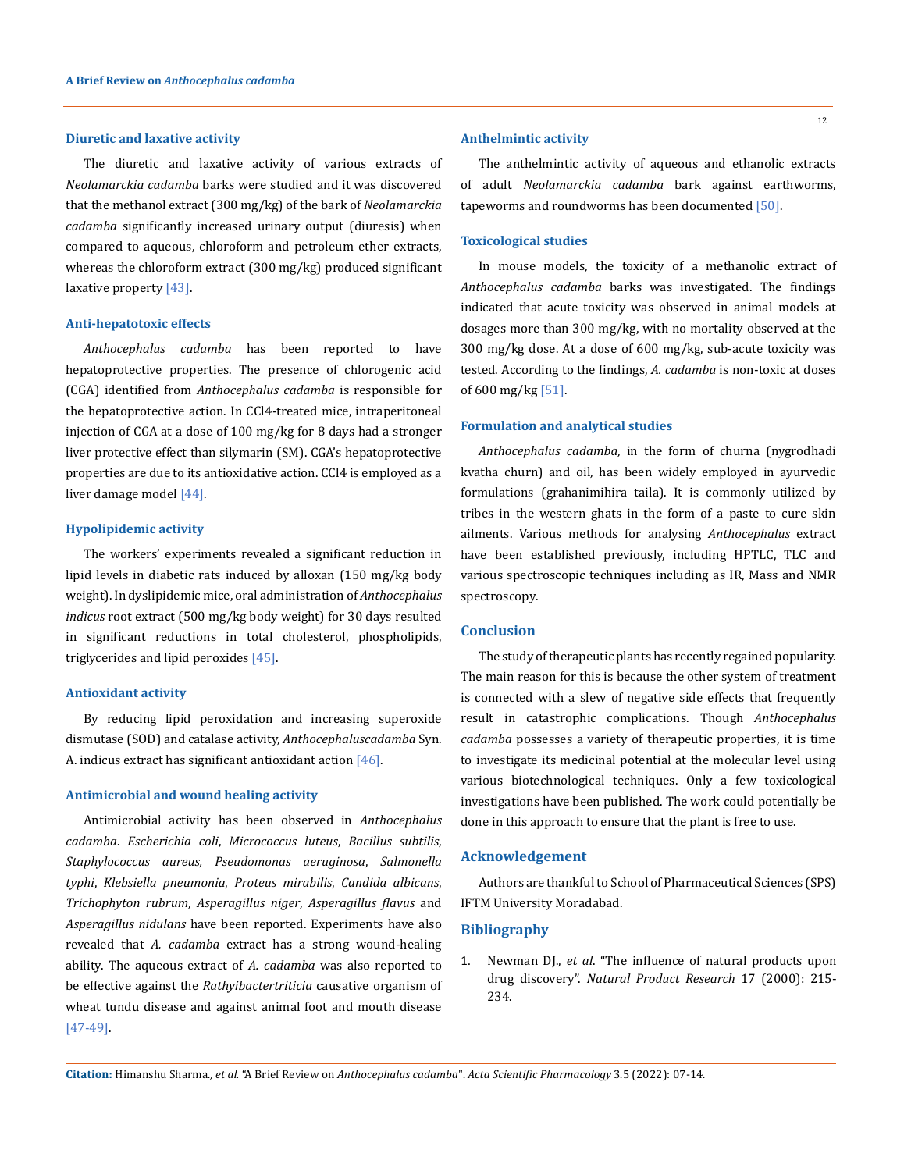#### **Diuretic and laxative activity**

The diuretic and laxative activity of various extracts of *Neolamarckia cadamba* barks were studied and it was discovered that the methanol extract (300 mg/kg) of the bark of *Neolamarckia cadamba* significantly increased urinary output (diuresis) when compared to aqueous, chloroform and petroleum ether extracts, whereas the chloroform extract (300 mg/kg) produced significant laxative property [43].

### **Anti-hepatotoxic effects**

*Anthocephalus cadamba* has been reported to have hepatoprotective properties. The presence of chlorogenic acid (CGA) identified from *Anthocephalus cadamba* is responsible for the hepatoprotective action. In CCl4-treated mice, intraperitoneal injection of CGA at a dose of 100 mg/kg for 8 days had a stronger liver protective effect than silymarin (SM). CGA's hepatoprotective properties are due to its antioxidative action. CCl4 is employed as a liver damage model [44].

#### **Hypolipidemic activity**

The workers' experiments revealed a significant reduction in lipid levels in diabetic rats induced by alloxan (150 mg/kg body weight). In dyslipidemic mice, oral administration of *Anthocephalus indicus* root extract (500 mg/kg body weight) for 30 days resulted in significant reductions in total cholesterol, phospholipids, triglycerides and lipid peroxides [45].

#### **Antioxidant activity**

By reducing lipid peroxidation and increasing superoxide dismutase (SOD) and catalase activity, *Anthocephaluscadamba* Syn. A. indicus extract has significant antioxidant action [46].

### **Antimicrobial and wound healing activity**

Antimicrobial activity has been observed in *Anthocephalus cadamba*. *Escherichia coli*, *Micrococcus luteus*, *Bacillus subtilis*, *Staphylococcus aureus, Pseudomonas aeruginosa*, *Salmonella typhi*, *Klebsiella pneumonia*, *Proteus mirabilis*, *Candida albicans*, *Trichophyton rubrum*, *Asperagillus niger*, *Asperagillus flavus* and *Asperagillus nidulans* have been reported. Experiments have also revealed that *A. cadamba* extract has a strong wound-healing ability. The aqueous extract of *A. cadamba* was also reported to be effective against the *Rathyibactertriticia* causative organism of wheat tundu disease and against animal foot and mouth disease [47-49].

#### **Anthelmintic activity**

The anthelmintic activity of aqueous and ethanolic extracts of adult *Neolamarckia cadamba* bark against earthworms, tapeworms and roundworms has been documented [50].

### **Toxicological studies**

In mouse models, the toxicity of a methanolic extract of *Anthocephalus cadamba* barks was investigated. The findings indicated that acute toxicity was observed in animal models at dosages more than 300 mg/kg, with no mortality observed at the 300 mg/kg dose. At a dose of 600 mg/kg, sub-acute toxicity was tested. According to the findings, *A. cadamba* is non-toxic at doses of 600 mg/kg [51].

### **Formulation and analytical studies**

*Anthocephalus cadamba*, in the form of churna (nygrodhadi kvatha churn) and oil, has been widely employed in ayurvedic formulations (grahanimihira taila). It is commonly utilized by tribes in the western ghats in the form of a paste to cure skin ailments. Various methods for analysing *Anthocephalus* extract have been established previously, including HPTLC, TLC and various spectroscopic techniques including as IR, Mass and NMR spectroscopy.

#### **Conclusion**

The study of therapeutic plants has recently regained popularity. The main reason for this is because the other system of treatment is connected with a slew of negative side effects that frequently result in catastrophic complications. Though *Anthocephalus cadamba* possesses a variety of therapeutic properties, it is time to investigate its medicinal potential at the molecular level using various biotechnological techniques. Only a few toxicological investigations have been published. The work could potentially be done in this approach to ensure that the plant is free to use.

### **Acknowledgement**

Authors are thankful to School of Pharmaceutical Sciences (SPS) IFTM University Moradabad.

### **Bibliography**

1. Newman DJ., *et al*[. "The influence of natural products upon](https://pubmed.ncbi.nlm.nih.gov/10888010/)  drug discovery". *[Natural Product Research](https://pubmed.ncbi.nlm.nih.gov/10888010/)* 17 (2000): 215- [234.](https://pubmed.ncbi.nlm.nih.gov/10888010/)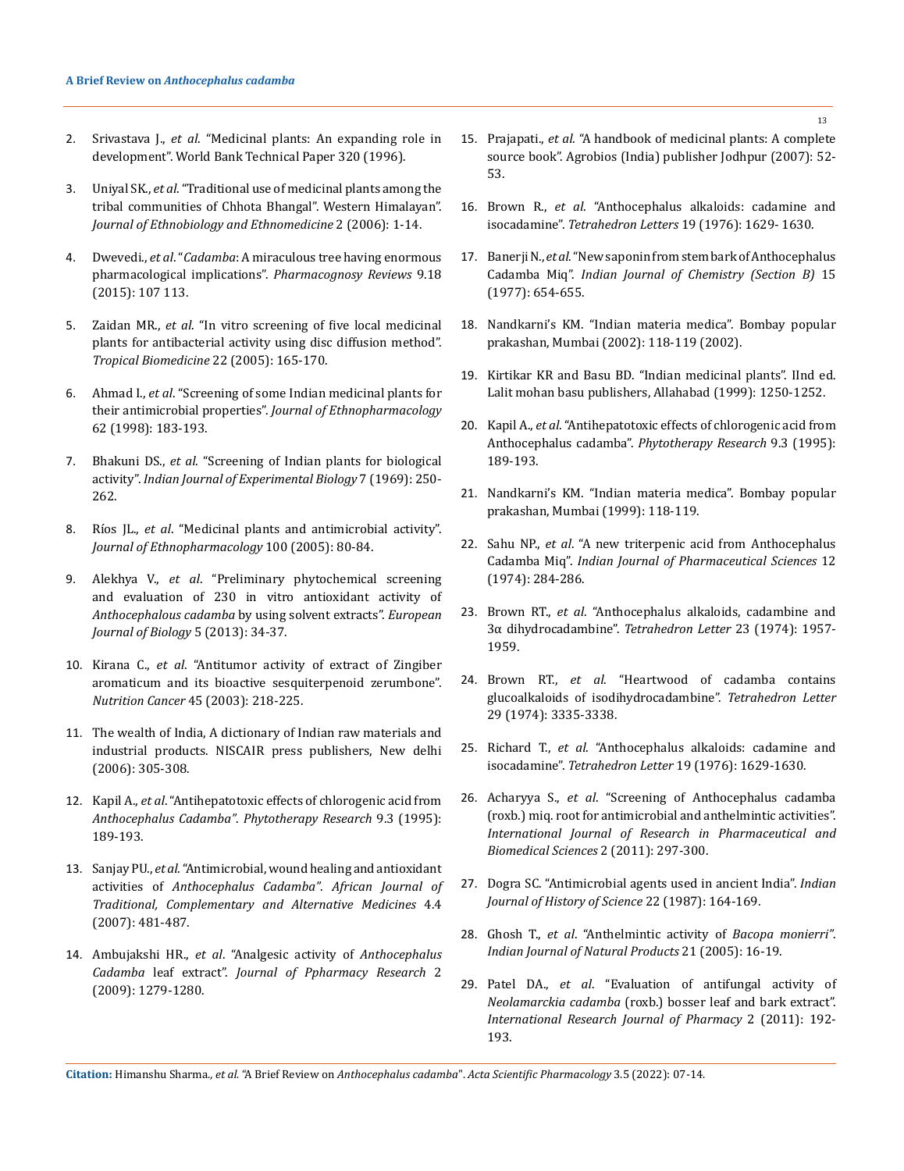- 2. Srivastava J., *et al*. "Medicinal plants: An expanding role in development". World Bank Technical Paper 320 (1996).
- 3. Uniyal SK., *et al*[. "Traditional use of medicinal plants among the](https://pubmed.ncbi.nlm.nih.gov/16545146/)  [tribal communities of Chhota Bhangal". Western Himalayan".](https://pubmed.ncbi.nlm.nih.gov/16545146/)  *[Journal of Ethnobiology and Ethnomedicine](https://pubmed.ncbi.nlm.nih.gov/16545146/)* 2 (2006): 1-14.
- 4. Dwevedi., *et al*. "*Cadamba*: A miraculous tree having enormous pharmacological implications". *Pharmacognosy Reviews* 9.18 (2015): 107 113.
- 5. Zaidan MR., *et al*[. "In vitro screening of five local medicinal](https://pubmed.ncbi.nlm.nih.gov/16883283/)  [plants for antibacterial activity using disc diffusion method".](https://pubmed.ncbi.nlm.nih.gov/16883283/)  *[Tropical Biomedicine](https://pubmed.ncbi.nlm.nih.gov/16883283/)* 22 (2005): 165-170.
- 6. Ahmad I., *et al*. "Screening of some Indian medicinal plants for their antimicrobial properties". *Journal of Ethnopharmacology* 62 (1998): 183-193.
- 7. Bhakuni DS., *et al*[. "Screening of Indian plants for biological](https://pubmed.ncbi.nlm.nih.gov/5720682/)  activity". *[Indian Journal of Experimental Biology](https://pubmed.ncbi.nlm.nih.gov/5720682/)* 7 (1969): 250- [262.](https://pubmed.ncbi.nlm.nih.gov/5720682/)
- 8. Ríos JL., *et al*[. "Medicinal plants and antimicrobial activity".](https://pubmed.ncbi.nlm.nih.gov/15964727/)  *[Journal of Ethnopharmacology](https://pubmed.ncbi.nlm.nih.gov/15964727/)* 100 (2005): 80-84.
- 9. Alekhya V., *et al*[. "Preliminary phytochemical screening](https://www.semanticscholar.org/paper/Preliminary-Phytochemical-Screening-and-Evaluation-Alekhya-Deepan/1eeb46a31d4a3e561b0a1d598a45ffd1cd1e9f5e)  [and evaluation of 230 in vitro antioxidant activity of](https://www.semanticscholar.org/paper/Preliminary-Phytochemical-Screening-and-Evaluation-Alekhya-Deepan/1eeb46a31d4a3e561b0a1d598a45ffd1cd1e9f5e)  *[Anthocephalous cadamba](https://www.semanticscholar.org/paper/Preliminary-Phytochemical-Screening-and-Evaluation-Alekhya-Deepan/1eeb46a31d4a3e561b0a1d598a45ffd1cd1e9f5e)* by using solvent extracts". *European [Journal of Biology](https://www.semanticscholar.org/paper/Preliminary-Phytochemical-Screening-and-Evaluation-Alekhya-Deepan/1eeb46a31d4a3e561b0a1d598a45ffd1cd1e9f5e)* 5 (2013): 34-37.
- 10. Kirana C., *et al*[. "Antitumor activity of extract of Zingiber](https://pubmed.ncbi.nlm.nih.gov/12881017/)  [aromaticum and its bioactive sesquiterpenoid zerumbone".](https://pubmed.ncbi.nlm.nih.gov/12881017/)  *Nutrition Cancer* [45 \(2003\): 218-225.](https://pubmed.ncbi.nlm.nih.gov/12881017/)
- 11. The wealth of India, A dictionary of Indian raw materials and industrial products. NISCAIR press publishers, New delhi (2006): 305-308.
- 12. Kapil A., *et al*[. "Antihepatotoxic effects of chlorogenic acid from](https://onlinelibrary.wiley.com/doi/abs/10.1002/ptr.2650090307)  *[Anthocephalus Cadamba"](https://onlinelibrary.wiley.com/doi/abs/10.1002/ptr.2650090307)*. *Phytotherapy Research* 9.3 (1995): [189-193.](https://onlinelibrary.wiley.com/doi/abs/10.1002/ptr.2650090307)
- 13. Sanjay PU., *et al*. "Antimicrobial, wound healing and antioxidant activities of *Anthocephalus Cadamba"*. *African Journal of Traditional, Complementary and Alternative Medicines* 4.4 (2007): 481-487.
- 14. Ambujakshi HR., *et al*. "Analgesic activity of *Anthocephalus Cadamba* leaf extract". *Journal of Ppharmacy Research* 2 (2009): 1279-1280.
- 15. Prajapati., *et al*. "A handbook of medicinal plants: A complete source book". Agrobios (India) publisher Jodhpur (2007): 52- 53.
- 16. Brown R., *et al*. "Anthocephalus alkaloids: cadamine and isocadamine". *Tetrahedron Letters* 19 (1976): 1629- 1630.
- 17. Banerji N., *et al*. "New saponin from stem bark of Anthocephalus Cadamba Miq". *Indian Journal of Chemistry (Section B)* 15 (1977): 654-655.
- 18. Nandkarni's KM. "Indian materia medica". Bombay popular prakashan, Mumbai (2002): 118-119 (2002).
- 19. Kirtikar KR and Basu BD. "Indian medicinal plants". IInd ed. Lalit mohan basu publishers, Allahabad (1999): 1250-1252.
- 20. Kapil A., *et al*. "Antihepatotoxic effects of chlorogenic acid from Anthocephalus cadamba". *Phytotherapy Research* 9.3 (1995): 189-193.
- 21. Nandkarni's KM. "Indian materia medica". Bombay popular prakashan, Mumbai (1999): 118-119.
- 22. Sahu NP., *et al*[. "A new triterpenic acid from Anthocephalus](https://agris.fao.org/agris-search/search.do?recordID=US201303098305)  Cadamba Miq". *[Indian Journal of Pharmaceutical Sciences](https://agris.fao.org/agris-search/search.do?recordID=US201303098305)* 12 [\(1974\): 284-286.](https://agris.fao.org/agris-search/search.do?recordID=US201303098305)
- 23. Brown RT., *et al*[. "Anthocephalus alkaloids, cadambine and](https://www.sciencedirect.com/science/article/abs/pii/S0040403901826034)  [3α dihydrocadambine".](https://www.sciencedirect.com/science/article/abs/pii/S0040403901826034) *Tetrahedron Letter* 23 (1974): 1957- [1959.](https://www.sciencedirect.com/science/article/abs/pii/S0040403901826034)
- 24. Brown RT., *et al*. "Heartwood of cadamba contains glucoalkaloids of isodihydrocadambine". *Tetrahedron Letter* 29 (1974): 3335-3338.
- 25. Richard T., *et al*. "Anthocephalus alkaloids: cadamine and isocadamine". *Tetrahedron Letter* 19 (1976): 1629-1630.
- 26. Acharyya S., *et al*[. "Screening of Anthocephalus cadamba](https://www.researchgate.net/publication/268176774_Screening_of_Anthocephalus_cadamba_Roxb_Miq_Root_for_Antimicrobial_and_Anthelmintic_activities)  [\(roxb.\) miq. root for antimicrobial and anthelmintic activities".](https://www.researchgate.net/publication/268176774_Screening_of_Anthocephalus_cadamba_Roxb_Miq_Root_for_Antimicrobial_and_Anthelmintic_activities)  *[International Journal of Research in Pharmaceutical and](https://www.researchgate.net/publication/268176774_Screening_of_Anthocephalus_cadamba_Roxb_Miq_Root_for_Antimicrobial_and_Anthelmintic_activities)  [Biomedical Sciences](https://www.researchgate.net/publication/268176774_Screening_of_Anthocephalus_cadamba_Roxb_Miq_Root_for_Antimicrobial_and_Anthelmintic_activities)* 2 (2011): 297-300.
- 27. [Dogra SC. "Antimicrobial agents used in ancient India".](https://pubmed.ncbi.nlm.nih.gov/11622480/) *Indian [Journal of History of Science](https://pubmed.ncbi.nlm.nih.gov/11622480/)* 22 (1987): 164-169.
- 28. Ghosh T., *et al*[. "Anthelmintic activity of](https://www.researchgate.net/publication/298095566_Anthelmintic_activity_of_Bacopa_monierri) *Bacopa monierri"*. *[Indian Journal of Natural Products](https://www.researchgate.net/publication/298095566_Anthelmintic_activity_of_Bacopa_monierri)* 21 (2005): 16-19.
- 29. Patel DA., *et al*[. "Evaluation of antifungal activity of](https://www.researchgate.net/publication/281168089_Evaluation_of_antifungal_activity_of_Neolamarckia_cadamba_roxb_bosser_leaf_and_bark_extract)  *Neolamarckia cadamba* [\(roxb.\) bosser leaf and bark extract".](https://www.researchgate.net/publication/281168089_Evaluation_of_antifungal_activity_of_Neolamarckia_cadamba_roxb_bosser_leaf_and_bark_extract)  *[International Research Journal of Pharmacy](https://www.researchgate.net/publication/281168089_Evaluation_of_antifungal_activity_of_Neolamarckia_cadamba_roxb_bosser_leaf_and_bark_extract)* 2 (2011): 192- [193.](https://www.researchgate.net/publication/281168089_Evaluation_of_antifungal_activity_of_Neolamarckia_cadamba_roxb_bosser_leaf_and_bark_extract)

**Citation:** Himanshu Sharma*., et al.* "A Brief Review on *Anthocephalus cadamba*". *Acta Scientific Pharmacology* 3.5 (2022): 07-14.